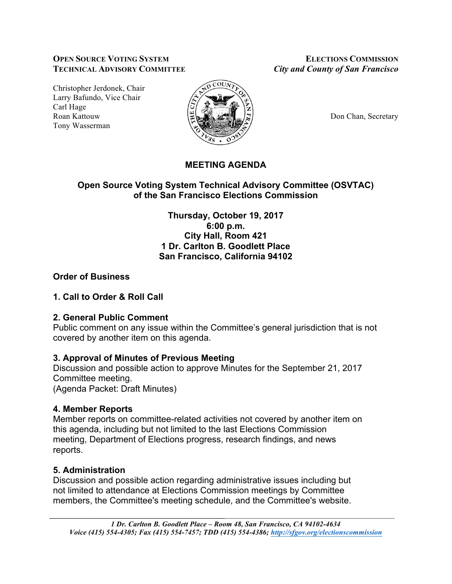#### **OPEN SOURCE VOTING SYSTEM ELECTIONS COMMISSION TECHNICAL ADVISORY COMMITTEE** *City and County of San Francisco*

Christopher Jerdonek, Chair Larry Bafundo, Vice Chair Carl Hage Roan Kattouw  $\Big|\frac{\mu}{\mu}\Big|_{\infty}$   $\Big|\frac{\mu}{\mu}\Big|_{\infty}$   $\Big|\frac{\mu}{\mu}\Big|_{\infty}$  Don Chan, Secretary Tony Wasserman



# **MEETING AGENDA**

## **Open Source Voting System Technical Advisory Committee (OSVTAC) of the San Francisco Elections Commission**

**Thursday, October 19, 2017 6:00 p.m. City Hall, Room 421 1 Dr. Carlton B. Goodlett Place San Francisco, California 94102**

## **Order of Business**

### **1. Call to Order & Roll Call**

### **2. General Public Comment**

Public comment on any issue within the Committee's general jurisdiction that is not covered by another item on this agenda.

## **3. Approval of Minutes of Previous Meeting**

Discussion and possible action to approve Minutes for the September 21, 2017 Committee meeting.

(Agenda Packet: Draft Minutes)

## **4. Member Reports**

Member reports on committee-related activities not covered by another item on this agenda, including but not limited to the last Elections Commission meeting, Department of Elections progress, research findings, and news reports.

## **5. Administration**

Discussion and possible action regarding administrative issues including but not limited to attendance at Elections Commission meetings by Committee members, the Committee's meeting schedule, and the Committee's website.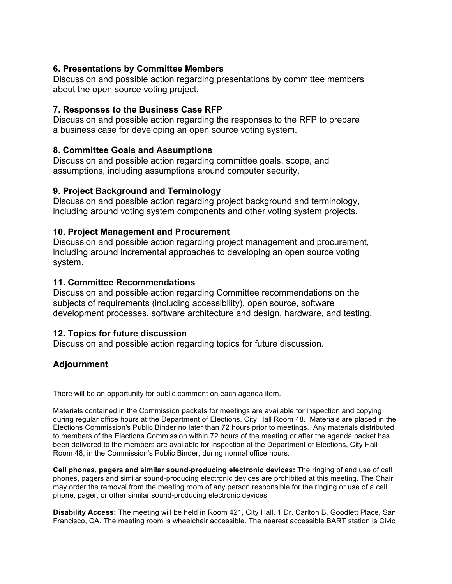### **6. Presentations by Committee Members**

Discussion and possible action regarding presentations by committee members about the open source voting project.

### **7. Responses to the Business Case RFP**

Discussion and possible action regarding the responses to the RFP to prepare a business case for developing an open source voting system.

### **8. Committee Goals and Assumptions**

Discussion and possible action regarding committee goals, scope, and assumptions, including assumptions around computer security.

### **9. Project Background and Terminology**

Discussion and possible action regarding project background and terminology, including around voting system components and other voting system projects.

### **10. Project Management and Procurement**

Discussion and possible action regarding project management and procurement, including around incremental approaches to developing an open source voting system.

### **11. Committee Recommendations**

Discussion and possible action regarding Committee recommendations on the subjects of requirements (including accessibility), open source, software development processes, software architecture and design, hardware, and testing.

### **12. Topics for future discussion**

Discussion and possible action regarding topics for future discussion.

## **Adjournment**

There will be an opportunity for public comment on each agenda item.

Materials contained in the Commission packets for meetings are available for inspection and copying during regular office hours at the Department of Elections, City Hall Room 48. Materials are placed in the Elections Commission's Public Binder no later than 72 hours prior to meetings. Any materials distributed to members of the Elections Commission within 72 hours of the meeting or after the agenda packet has been delivered to the members are available for inspection at the Department of Elections, City Hall Room 48, in the Commission's Public Binder, during normal office hours.

**Cell phones, pagers and similar sound-producing electronic devices:** The ringing of and use of cell phones, pagers and similar sound-producing electronic devices are prohibited at this meeting. The Chair may order the removal from the meeting room of any person responsible for the ringing or use of a cell phone, pager, or other similar sound-producing electronic devices.

**Disability Access:** The meeting will be held in Room 421, City Hall, 1 Dr. Carlton B. Goodlett Place, San Francisco, CA. The meeting room is wheelchair accessible. The nearest accessible BART station is Civic